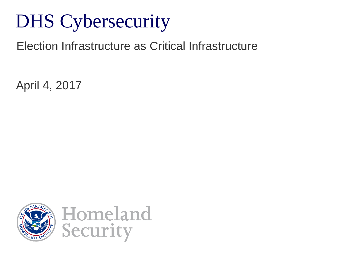# DHS Cybersecurity

Election Infrastructure as Critical Infrastructure

April 4, 2017

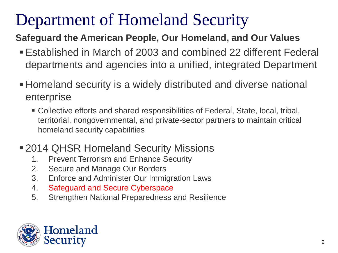## Department of Homeland Security

#### **Safeguard the American People, Our Homeland, and Our Values**

- Established in March of 2003 and combined 22 different Federal departments and agencies into a unified, integrated Department
- Homeland security is a widely distributed and diverse national enterprise
	- Collective efforts and shared responsibilities of Federal, State, local, tribal, territorial, nongovernmental, and private-sector partners to maintain critical homeland security capabilities

#### **2014 QHSR Homeland Security Missions**

- 1. Prevent Terrorism and Enhance Security
- 2. Secure and Manage Our Borders
- 3. Enforce and Administer Our Immigration Laws
- 4. Safeguard and Secure Cyberspace
- 5. Strengthen National Preparedness and Resilience

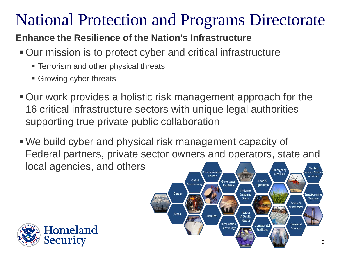## National Protection and Programs Directorate

#### **Enhance the Resilience of the Nation's Infrastructure**

- Our mission is to protect cyber and critical infrastructure
	- **Terrorism and other physical threats**
	- **Growing cyber threats**
- Our work provides a holistic risk management approach for the 16 critical infrastructure sectors with unique legal authorities supporting true private public collaboration
- We build cyber and physical risk management capacity of Federal partners, private sector owners and operators, state and local agencies, and others Emergency tors Mate Services

Energy

Dams

Sector

Chemical

Governmen

**Facilities** 

Information

Technolog

Defense

**Industrial** 

**Base** 

Health

& Public Health

Food &

Agriculture

Commercia

Facilities

Critical

Manufactur



& Waste

Fransportati

Water & Wastewate

Financial

Services

Systems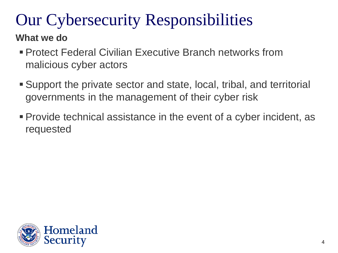# Our Cybersecurity Responsibilities

#### **What we do**

- Protect Federal Civilian Executive Branch networks from malicious cyber actors
- Support the private sector and state, local, tribal, and territorial governments in the management of their cyber risk
- Provide technical assistance in the event of a cyber incident, as requested

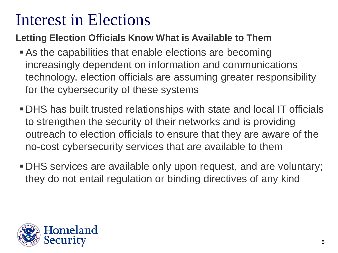## Interest in Elections

#### **Letting Election Officials Know What is Available to Them**

- As the capabilities that enable elections are becoming increasingly dependent on information and communications technology, election officials are assuming greater responsibility for the cybersecurity of these systems
- DHS has built trusted relationships with state and local IT officials to strengthen the security of their networks and is providing outreach to election officials to ensure that they are aware of the no-cost cybersecurity services that are available to them
- DHS services are available only upon request, and are voluntary; they do not entail regulation or binding directives of any kind

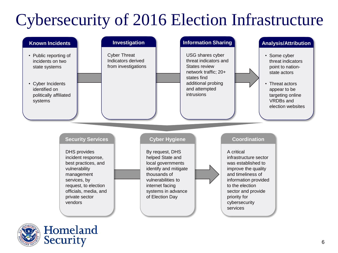# Cybersecurity of 2016 Election Infrastructure



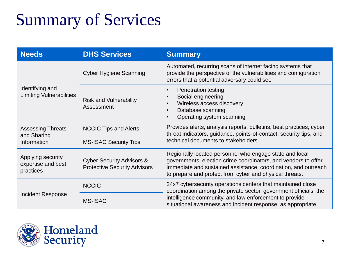# Summary of Services

| <b>Needs</b>                                           | <b>DHS Services</b>                                                         | <b>Summary</b>                                                                                                                                                                                                                                            |
|--------------------------------------------------------|-----------------------------------------------------------------------------|-----------------------------------------------------------------------------------------------------------------------------------------------------------------------------------------------------------------------------------------------------------|
| Identifying and<br><b>Limiting Vulnerabilities</b>     | <b>Cyber Hygiene Scanning</b>                                               | Automated, recurring scans of internet facing systems that<br>provide the perspective of the vulnerabilities and configuration<br>errors that a potential adversary could see                                                                             |
|                                                        | <b>Risk and Vulnerability</b><br>Assessment                                 | Penetration testing<br>$\bullet$<br>Social engineering<br>$\bullet$<br>Wireless access discovery<br>Database scanning<br>Operating system scanning                                                                                                        |
| <b>Assessing Threats</b><br>and Sharing<br>Information | <b>NCCIC Tips and Alerts</b>                                                | Provides alerts, analysis reports, bulletins, best practices, cyber<br>threat indicators, guidance, points-of-contact, security tips, and<br>technical documents to stakeholders                                                                          |
|                                                        | <b>MS-ISAC Security Tips</b>                                                |                                                                                                                                                                                                                                                           |
| Applying security<br>expertise and best<br>practices   | <b>Cyber Security Advisors &amp;</b><br><b>Protective Security Advisors</b> | Regionally located personnel who engage state and local<br>governments, election crime coordinators, and vendors to offer<br>immediate and sustained assistance, coordination, and outreach<br>to prepare and protect from cyber and physical threats.    |
| <b>Incident Response</b>                               | <b>NCCIC</b>                                                                | 24x7 cybersecurity operations centers that maintained close<br>coordination among the private sector, government officials, the<br>intelligence community, and law enforcement to provide<br>situational awareness and incident response, as appropriate. |
|                                                        | <b>MS-ISAC</b>                                                              |                                                                                                                                                                                                                                                           |

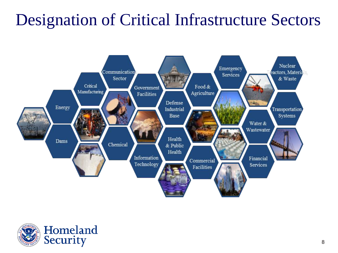## Designation of Critical Infrastructure Sectors



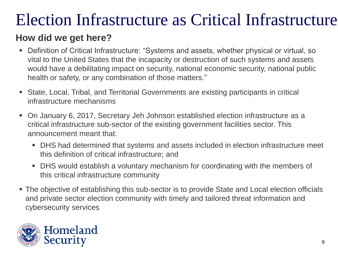### Election Infrastructure as Critical Infrastructure

#### **How did we get here?**

- Definition of Critical Infrastructure: "Systems and assets, whether physical or virtual, so vital to the United States that the incapacity or destruction of such systems and assets would have a debilitating impact on security, national economic security, national public health or safety, or any combination of those matters."
- State, Local, Tribal, and Territorial Governments are existing participants in critical infrastructure mechanisms
- On January 6, 2017, Secretary Jeh Johnson established election infrastructure as a critical infrastructure sub-sector of the existing government facilities sector. This announcement meant that:
	- DHS had determined that systems and assets included in election infrastructure meet this definition of critical infrastructure; and
	- DHS would establish a voluntary mechanism for coordinating with the members of this critical infrastructure community
- The objective of establishing this sub-sector is to provide State and Local election officials and private sector election community with timely and tailored threat information and cybersecurity services

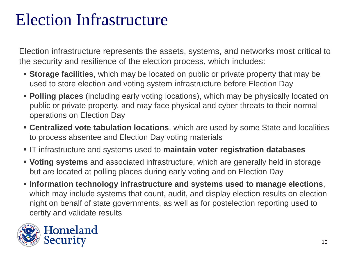## Election Infrastructure

Election infrastructure represents the assets, systems, and networks most critical to the security and resilience of the election process, which includes:

- **Storage facilities**, which may be located on public or private property that may be used to store election and voting system infrastructure before Election Day
- **Polling places** (including early voting locations), which may be physically located on public or private property, and may face physical and cyber threats to their normal operations on Election Day
- **Centralized vote tabulation locations**, which are used by some State and localities to process absentee and Election Day voting materials
- IT infrastructure and systems used to **maintain voter registration databases**
- **Voting systems** and associated infrastructure, which are generally held in storage but are located at polling places during early voting and on Election Day
- **Information technology infrastructure and systems used to manage elections**, which may include systems that count, audit, and display election results on election night on behalf of state governments, as well as for postelection reporting used to certify and validate results



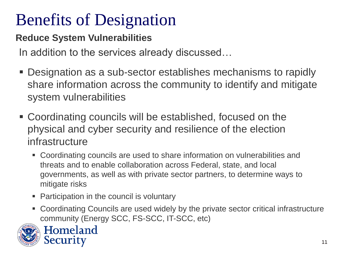**Reduce System Vulnerabilities**

In addition to the services already discussed…

- Designation as a sub-sector establishes mechanisms to rapidly share information across the community to identify and mitigate system vulnerabilities
- Coordinating councils will be established, focused on the physical and cyber security and resilience of the election infrastructure
	- Coordinating councils are used to share information on vulnerabilities and threats and to enable collaboration across Federal, state, and local governments, as well as with private sector partners, to determine ways to mitigate risks
	- Participation in the council is voluntary
	- Coordinating Councils are used widely by the private sector critical infrastructure community (Energy SCC, FS-SCC, IT-SCC, etc)



Homeland Security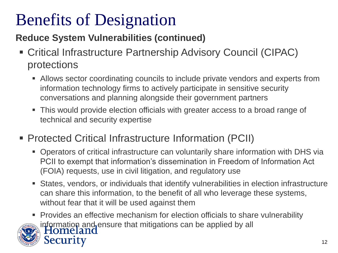#### **Reduce System Vulnerabilities (continued)**

- Critical Infrastructure Partnership Advisory Council (CIPAC) protections
	- Allows sector coordinating councils to include private vendors and experts from information technology firms to actively participate in sensitive security conversations and planning alongside their government partners
	- This would provide election officials with greater access to a broad range of technical and security expertise
- Protected Critical Infrastructure Information (PCII)
	- Operators of critical infrastructure can voluntarily share information with DHS via PCII to exempt that information's dissemination in Freedom of Information Act (FOIA) requests, use in civil litigation, and regulatory use
	- States, vendors, or individuals that identify vulnerabilities in election infrastructure can share this information, to the benefit of all who leverage these systems, without fear that it will be used against them

 Provides an effective mechanism for election officials to share vulnerability information and ensure that mitigations can be applied by all<br>| Homeland security Presenter's Name June 17, 2003 12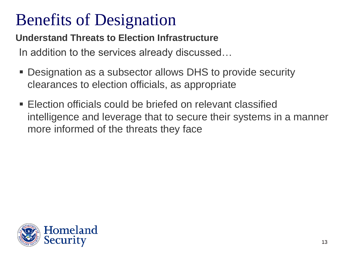**Understand Threats to Election Infrastructure**

In addition to the services already discussed…

- Designation as a subsector allows DHS to provide security clearances to election officials, as appropriate
- Election officials could be briefed on relevant classified intelligence and leverage that to secure their systems in a manner more informed of the threats they face

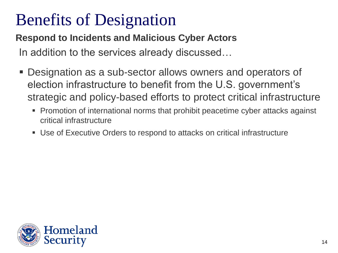**Respond to Incidents and Malicious Cyber Actors**

In addition to the services already discussed…

- Designation as a sub-sector allows owners and operators of election infrastructure to benefit from the U.S. government's strategic and policy-based efforts to protect critical infrastructure
	- Promotion of international norms that prohibit peacetime cyber attacks against critical infrastructure
	- Use of Executive Orders to respond to attacks on critical infrastructure

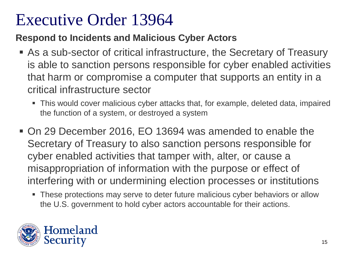#### Executive Order 13964

**Respond to Incidents and Malicious Cyber Actors**

- As a sub-sector of critical infrastructure, the Secretary of Treasury is able to sanction persons responsible for cyber enabled activities that harm or compromise a computer that supports an entity in a critical infrastructure sector
	- This would cover malicious cyber attacks that, for example, deleted data, impaired the function of a system, or destroyed a system
- On 29 December 2016, EO 13694 was amended to enable the Secretary of Treasury to also sanction persons responsible for cyber enabled activities that tamper with, alter, or cause a misappropriation of information with the purpose or effect of interfering with or undermining election processes or institutions
	- **These protections may serve to deter future malicious cyber behaviors or allow** the U.S. government to hold cyber actors accountable for their actions.